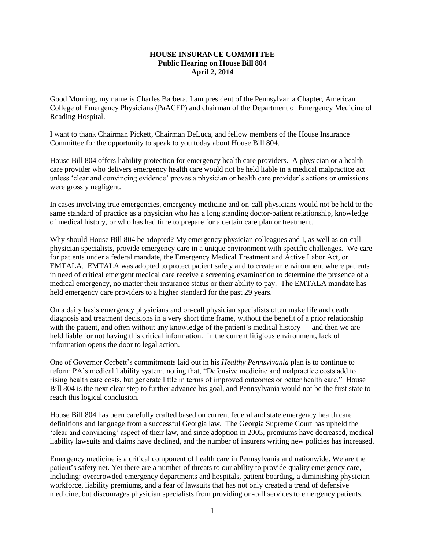## **HOUSE INSURANCE COMMITTEE Public Hearing on House Bill 804 April 2, 2014**

Good Morning, my name is Charles Barbera. I am president of the Pennsylvania Chapter, American College of Emergency Physicians (PaACEP) and chairman of the Department of Emergency Medicine of Reading Hospital.

I want to thank Chairman Pickett, Chairman DeLuca, and fellow members of the House Insurance Committee for the opportunity to speak to you today about House Bill 804.

House Bill 804 offers liability protection for emergency health care providers. A physician or a health care provider who delivers emergency health care would not be held liable in a medical malpractice act unless 'clear and convincing evidence' proves a physician or health care provider's actions or omissions were grossly negligent.

In cases involving true emergencies, emergency medicine and on-call physicians would not be held to the same standard of practice as a physician who has a long standing doctor-patient relationship, knowledge of medical history, or who has had time to prepare for a certain care plan or treatment.

Why should House Bill 804 be adopted? My emergency physician colleagues and I, as well as on-call physician specialists, provide emergency care in a unique environment with specific challenges. We care for patients under a federal mandate, the Emergency Medical Treatment and Active Labor Act, or EMTALA. EMTALA was adopted to protect patient safety and to create an environment where patients in need of critical emergent medical care receive a screening examination to determine the presence of a medical emergency, no matter their insurance status or their ability to pay. The EMTALA mandate has held emergency care providers to a higher standard for the past 29 years.

On a daily basis emergency physicians and on-call physician specialists often make life and death diagnosis and treatment decisions in a very short time frame, without the benefit of a prior relationship with the patient, and often without any knowledge of the patient's medical history — and then we are held liable for not having this critical information. In the current litigious environment, lack of information opens the door to legal action.

One of Governor Corbett's commitments laid out in his *Healthy Pennsylvania* plan is to continue to reform PA's medical liability system, noting that, "Defensive medicine and malpractice costs add to rising health care costs, but generate little in terms of improved outcomes or better health care." House Bill 804 is the next clear step to further advance his goal, and Pennsylvania would not be the first state to reach this logical conclusion.

House Bill 804 has been carefully crafted based on current federal and state emergency health care definitions and language from a successful Georgia law. The Georgia Supreme Court has upheld the 'clear and convincing' aspect of their law, and since adoption in 2005, premiums have decreased, medical liability lawsuits and claims have declined, and the number of insurers writing new policies has increased.

Emergency medicine is a critical component of health care in Pennsylvania and nationwide. We are the patient's safety net. Yet there are a number of threats to our ability to provide quality emergency care, including: overcrowded emergency departments and hospitals, patient boarding, a diminishing physician workforce, liability premiums, and a fear of lawsuits that has not only created a trend of defensive medicine, but discourages physician specialists from providing on-call services to emergency patients.